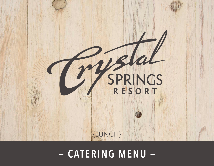

#### **THECRYSTALSPRINGSRESORT.COM | SUSSEX COUNTY, NEW JERSEY | 2022 — CATERING MENU —**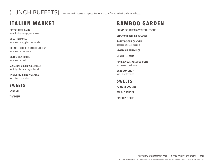{LUNCH BUFFETS} A minimum of 15 guests is required. Freshly brewed coffee, tea and soft drinks are included.

### **ITALIAN MARKET**

**ORECCHIETTE PASTA** broccoli rabe, sausage, white bean

**RIGATONI PASTA** tomato sauce, eggplant, mozzarella

**BREADED CHICKEN CUTLET SLIDERS** tomato sauce, mozzarella

**BISTRO MEATBALLS** tomato sauce, basil

**SEASONAL GREEN VEGETABLES** roasted garlic, extra virgin olive oil

**RADICCHIO & ENDIVE SALAD** red onion, ricotta salata

**SWEETS**

**CANNOLI** 

**TIRAMISU**

## **BAMBOO GARDEN**

**CHINESE CHICKEN & VEGETABLE SOUP**

**SZECHUAN BEEF & BROCCOLI**

**SWEET & SOUR CHICKEN**  peppers, onions, pineapple

**VEGETABLE FRIED RICE**

**SHRIMP LO MEIN**

**PORK & VEGETABLE EGG ROLLS**  hot mustard, duck sauce

**BABY BOK CHOY**  garlic & oyster sauce

**SWEETS FORTUNE COOKIES FRESH ORANGES PINEAPPLE CAKE**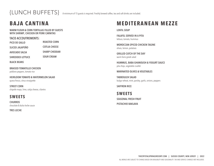{LUNCH BUFFETS} A minimum of 15 guests is required. Freshly brewed coffee, tea and soft drinks are included.

## **BAJA CANTINA**

**WARM FLOUR & CORN TORTILLAS FILLED BY GUESTS WITH SHRIMP, CHICKEN OR PORK CARNITAS** 

#### **TACO ACCOUTREMENTS:**

**PICO DE GALLO SLICED JALAPEÑO AVOCADO SALSA ROASTED CORN COTIJA CHEESE SHARP CHEDDAR SOUR CREAM**

**SHREDDED LETTUCE**

**BLACK BEANS**

**BRAISED TOMATILLO CHICKEN** poblano peppers, tomato rice

**HEIRLOOM TOMATO & WATERMELON SALAD** queso fresco, citrus vinaigrette

**STREET CORN** chipotle mayo, lime, cotija cheese, cilantro

#### **SWEETS**

**CHURROS** chocolate & dulce leche sauce

**TRES LECHE**

### **MEDITERANEAN MEZZE**

**LENTIL SOUP**

**FALAFEL SERVED IN A PITA** lettuce, tomato, hummus

**MOROCCAN-SPICED CHICKEN TAGINE**  olives, lemon, potatoes

**GRILLED CATCH OF THE DAY** warm farro greek salad

**HUMMUS, BABA GHANOUSH & YOGURT SAUCE** pita chips, vegetable crudité

**MARINATED OLIVES & VEGETABLES**

**TABBOULEH SALAD** bulgur wheat, mint, parsley, garlic, onions, peppers

**SAFFRON RICE**

**SWEETS SEASONAL FRESH FRUIT PISTACHIO BAKLAVA**

> **THECRYSTALSPRINGSRESORT.COM | SUSSEX COUNTY, NEW JERSEY | 2022** ALL MENUS ARE SUBJECT TO CHANGE BASED ON AVAILABLITY AND SEASONALITY. TAX AND SERVICE CHARGES NOT INCLUDED.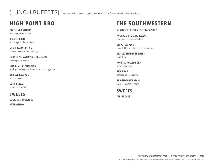### **HIGH POINT BBQ**

**BLACKENED SALMON**  pineapple, avocado salsa

**JERK CHICKEN** wild rice pilaf, cilantro crème

**MIXED FARM GREENS** cherry tomato, assorted dressings

**CRUNCHY SHAVED VEGETABLE SLAW** creamy garlic dressing

**RED BLISS POTATO SALAD** whole grain vinaigrette, bacon, hard boiled eggs, capers

**BRAISED SAUSAGE** peppers, onions

**CORN BREAD** catskills honey butter

**SWEETS COOKIES & BROWNIES**

**WATERMELON**

## **THE SOUTHWESTERN**

#### **SHREDDED CHICKEN ENCHILADA SOUP**

**AVOCADO & TOMATO SALSAS** sour cream, crispy tortilla chips

**CHIPOTLE SALAD** shredded lettuce, black beans, charred corn

**GRILLED SHRIMP SKEWERS** chimichurri

**ROASTED PULLED PORK** herb, shallot mojo

**RICE PILAF**  peppers, onions, cilantro

**BRAISED WHITE BEANS**  swiss chard, roasted garlic

**SWEETS TRES LECHES**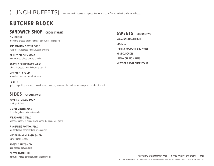## **BUTCHER BLOCK**

#### **SANDWICH SHOP {CHOOSE THREE}**

**ITALIAN SUB** prosciutto, cheese, salami, tomato, lettuce, banana peppers

**SMOKED HAM OFF THE BONE** swiss cheese, sautéed onions, russian dressing

**GRILLED CHICKEN WRAP** feta, kalamata olives, tomato, tzatziki

**ROASTED CAULIFLOWER WRAP** tahini, chickpeas, shredded carrots, spinach

**MOZZARELLA PANINI**  roasted red peppers, fresh basil pesto

**GARDEN**  grilled vegetables, tomatoes, spanish roasted peppers, baby arugula, sundried tomato spread, sourdough bread

#### **SIDES {CHOOSE TWO}**

**ROASTED TOMATO SOUP** confit garlic, basil

**SIMPLE GREEN SALAD** shaved vegetables, citrus vinaigrette

**FARRO GREEK SALAD** peppers, tomato, kalamata olives, lemon & oregano vinaigrette

**FINGERLING POTATO SALAD** mustard mayo, bacon lardons, green onions

**MEDITERRANEAN PASTA SALAD**  olives, tomatoes, feta

**ROASTED BEET SALAD** goat cheese, baby arugula

**CHEESE TORTELLINI** pesto, fine herbs, parmesan, extra virgin olive oil **SWEETS** {CHOOSE TWO} **SEASONAL FRESH FRUIT COOKIES TRIPLE CHOCOLATE BROWNIES MINI CUPCAKES LEMON CHIFFON BITES NEW YORK STYLE CHEESECAKE**